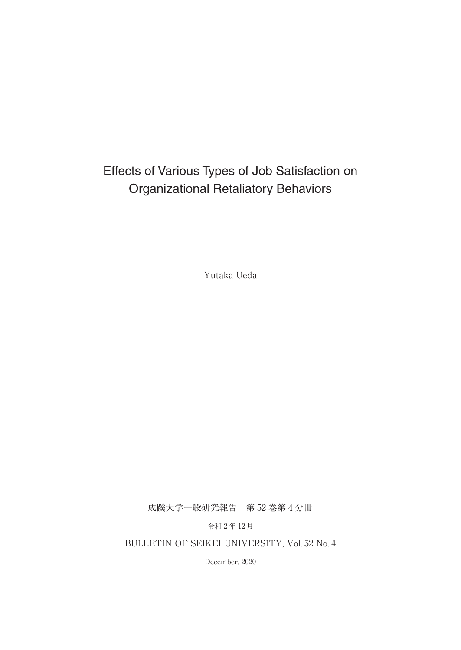# Effects of Various Types of Job Satisfaction on Organizational Retaliatory Behaviors

Yutaka Ueda

成蹊大学一般研究報告 第 52 巻第 4 分冊

令和 2 年 12 月

BULLETIN OF SEIKEI UNIVERSITY, Vol. 52 No. 4

December, 2020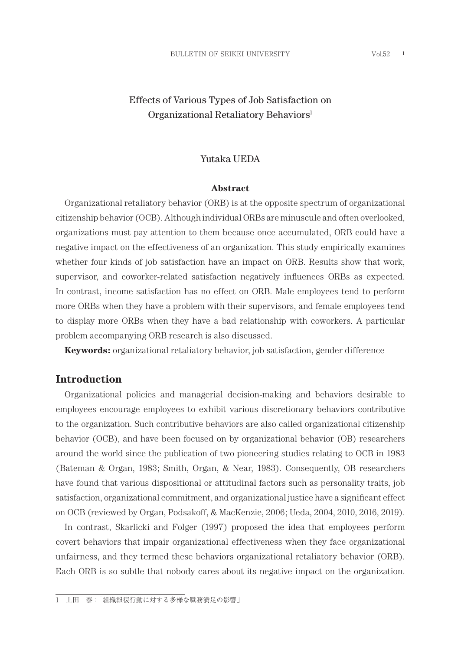# Effects of Various Types of Job Satisfaction on Organizational Retaliatory Behaviors<sup>1</sup>

#### Yutaka UEDA

#### **Abstract**

Organizational retaliatory behavior (ORB) is at the opposite spectrum of organizational citizenship behavior (OCB). Although individual ORBs are minuscule and often overlooked, organizations must pay attention to them because once accumulated, ORB could have a negative impact on the effectiveness of an organization. This study empirically examines whether four kinds of job satisfaction have an impact on ORB. Results show that work, supervisor, and coworker-related satisfaction negatively influences ORBs as expected. In contrast, income satisfaction has no effect on ORB. Male employees tend to perform more ORBs when they have a problem with their supervisors, and female employees tend to display more ORBs when they have a bad relationship with coworkers. A particular problem accompanying ORB research is also discussed.

**Keywords:** organizational retaliatory behavior, job satisfaction, gender difference

### **Introduction**

Organizational policies and managerial decision-making and behaviors desirable to employees encourage employees to exhibit various discretionary behaviors contributive to the organization. Such contributive behaviors are also called organizational citizenship behavior (OCB), and have been focused on by organizational behavior (OB) researchers around the world since the publication of two pioneering studies relating to OCB in 1983 (Bateman & Organ, 1983; Smith, Organ, & Near, 1983). Consequently, OB researchers have found that various dispositional or attitudinal factors such as personality traits, job satisfaction, organizational commitment, and organizational justice have a significant effect on OCB (reviewed by Organ, Podsakoff, & MacKenzie, 2006; Ueda, 2004, 2010, 2016, 2019).

In contrast, Skarlicki and Folger (1997) proposed the idea that employees perform covert behaviors that impair organizational effectiveness when they face organizational unfairness, and they termed these behaviors organizational retaliatory behavior (ORB). Each ORB is so subtle that nobody cares about its negative impact on the organization.

1 上田 泰:「組織報復行動に対する多様な職務満足の影響」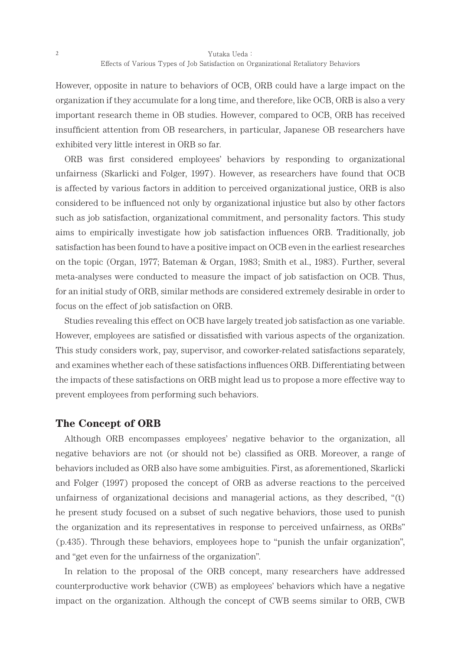However, opposite in nature to behaviors of OCB, ORB could have a large impact on the organization if they accumulate for a long time, and therefore, like OCB, ORB is also a very important research theme in OB studies. However, compared to OCB, ORB has received insufficient attention from OB researchers, in particular, Japanese OB researchers have exhibited very little interest in ORB so far.

ORB was first considered employees' behaviors by responding to organizational unfairness (Skarlicki and Folger, 1997). However, as researchers have found that OCB is affected by various factors in addition to perceived organizational justice, ORB is also considered to be influenced not only by organizational injustice but also by other factors such as job satisfaction, organizational commitment, and personality factors. This study aims to empirically investigate how job satisfaction influences ORB. Traditionally, job satisfaction has been found to have a positive impact on OCB even in the earliest researches on the topic (Organ, 1977; Bateman & Organ, 1983; Smith et al., 1983). Further, several meta-analyses were conducted to measure the impact of job satisfaction on OCB. Thus, for an initial study of ORB, similar methods are considered extremely desirable in order to focus on the effect of job satisfaction on ORB.

Studies revealing this effect on OCB have largely treated job satisfaction as one variable. However, employees are satisfied or dissatisfied with various aspects of the organization. This study considers work, pay, supervisor, and coworker-related satisfactions separately, and examines whether each of these satisfactions influences ORB. Differentiating between the impacts of these satisfactions on ORB might lead us to propose a more effective way to prevent employees from performing such behaviors.

### **The Concept of ORB**

Although ORB encompasses employees' negative behavior to the organization, all negative behaviors are not (or should not be) classified as ORB. Moreover, a range of behaviors included as ORB also have some ambiguities. First, as aforementioned, Skarlicki and Folger (1997) proposed the concept of ORB as adverse reactions to the perceived unfairness of organizational decisions and managerial actions, as they described, "(t) he present study focused on a subset of such negative behaviors, those used to punish the organization and its representatives in response to perceived unfairness, as ORBs" (p.435). Through these behaviors, employees hope to "punish the unfair organization", and "get even for the unfairness of the organization".

In relation to the proposal of the ORB concept, many researchers have addressed counterproductive work behavior (CWB) as employees' behaviors which have a negative impact on the organization. Although the concept of CWB seems similar to ORB, CWB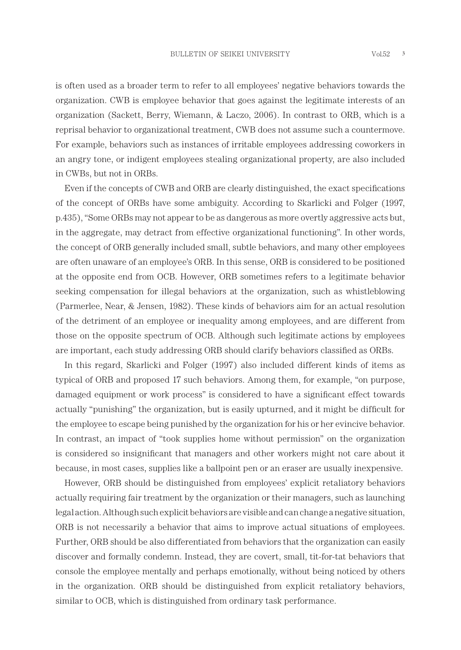is often used as a broader term to refer to all employees' negative behaviors towards the organization. CWB is employee behavior that goes against the legitimate interests of an organization (Sackett, Berry, Wiemann, & Laczo, 2006). In contrast to ORB, which is a reprisal behavior to organizational treatment, CWB does not assume such a countermove. For example, behaviors such as instances of irritable employees addressing coworkers in an angry tone, or indigent employees stealing organizational property, are also included in CWBs, but not in ORBs.

Even if the concepts of CWB and ORB are clearly distinguished, the exact specifications of the concept of ORBs have some ambiguity. According to Skarlicki and Folger (1997, p.435), "Some ORBs may not appear to be as dangerous as more overtly aggressive acts but, in the aggregate, may detract from effective organizational functioning". In other words, the concept of ORB generally included small, subtle behaviors, and many other employees are often unaware of an employee's ORB. In this sense, ORB is considered to be positioned at the opposite end from OCB. However, ORB sometimes refers to a legitimate behavior seeking compensation for illegal behaviors at the organization, such as whistleblowing (Parmerlee, Near, & Jensen, 1982). These kinds of behaviors aim for an actual resolution of the detriment of an employee or inequality among employees, and are different from those on the opposite spectrum of OCB. Although such legitimate actions by employees are important, each study addressing ORB should clarify behaviors classified as ORBs.

In this regard, Skarlicki and Folger (1997) also included different kinds of items as typical of ORB and proposed 17 such behaviors. Among them, for example, "on purpose, damaged equipment or work process" is considered to have a significant effect towards actually "punishing" the organization, but is easily upturned, and it might be difficult for the employee to escape being punished by the organization for his or her evincive behavior. In contrast, an impact of "took supplies home without permission" on the organization is considered so insignificant that managers and other workers might not care about it because, in most cases, supplies like a ballpoint pen or an eraser are usually inexpensive.

However, ORB should be distinguished from employees' explicit retaliatory behaviors actually requiring fair treatment by the organization or their managers, such as launching legal action. Although such explicit behaviors are visible and can change a negative situation, ORB is not necessarily a behavior that aims to improve actual situations of employees. Further, ORB should be also differentiated from behaviors that the organization can easily discover and formally condemn. Instead, they are covert, small, tit-for-tat behaviors that console the employee mentally and perhaps emotionally, without being noticed by others in the organization. ORB should be distinguished from explicit retaliatory behaviors, similar to OCB, which is distinguished from ordinary task performance.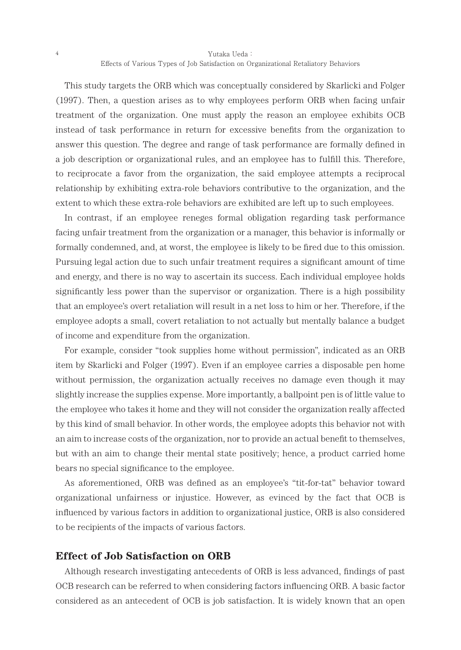Yutaka Ueda: Effects of Various Types of Job Satisfaction on Organizational Retaliatory Behaviors

This study targets the ORB which was conceptually considered by Skarlicki and Folger (1997). Then, a question arises as to why employees perform ORB when facing unfair treatment of the organization. One must apply the reason an employee exhibits OCB instead of task performance in return for excessive benefits from the organization to answer this question. The degree and range of task performance are formally defined in a job description or organizational rules, and an employee has to fulfill this. Therefore, to reciprocate a favor from the organization, the said employee attempts a reciprocal relationship by exhibiting extra-role behaviors contributive to the organization, and the extent to which these extra-role behaviors are exhibited are left up to such employees.

In contrast, if an employee reneges formal obligation regarding task performance facing unfair treatment from the organization or a manager, this behavior is informally or formally condemned, and, at worst, the employee is likely to be fired due to this omission. Pursuing legal action due to such unfair treatment requires a significant amount of time and energy, and there is no way to ascertain its success. Each individual employee holds significantly less power than the supervisor or organization. There is a high possibility that an employee's overt retaliation will result in a net loss to him or her. Therefore, if the employee adopts a small, covert retaliation to not actually but mentally balance a budget of income and expenditure from the organization.

For example, consider "took supplies home without permission", indicated as an ORB item by Skarlicki and Folger (1997). Even if an employee carries a disposable pen home without permission, the organization actually receives no damage even though it may slightly increase the supplies expense. More importantly, a ballpoint pen is of little value to the employee who takes it home and they will not consider the organization really affected by this kind of small behavior. In other words, the employee adopts this behavior not with an aim to increase costs of the organization, nor to provide an actual benefit to themselves, but with an aim to change their mental state positively; hence, a product carried home bears no special significance to the employee.

As aforementioned, ORB was defined as an employee's "tit-for-tat" behavior toward organizational unfairness or injustice. However, as evinced by the fact that OCB is influenced by various factors in addition to organizational justice, ORB is also considered to be recipients of the impacts of various factors.

# **Effect of Job Satisfaction on ORB**

Although research investigating antecedents of ORB is less advanced, findings of past OCB research can be referred to when considering factors influencing ORB. A basic factor considered as an antecedent of OCB is job satisfaction. It is widely known that an open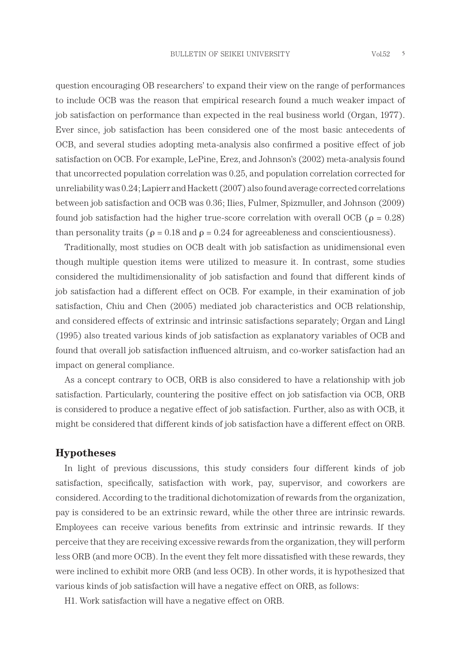question encouraging OB researchers' to expand their view on the range of performances to include OCB was the reason that empirical research found a much weaker impact of job satisfaction on performance than expected in the real business world (Organ, 1977). Ever since, job satisfaction has been considered one of the most basic antecedents of OCB, and several studies adopting meta-analysis also confirmed a positive effect of job satisfaction on OCB. For example, LePine, Erez, and Johnson's (2002) meta-analysis found that uncorrected population correlation was 0.25, and population correlation corrected for unreliability was 0.24; Lapierr and Hackett (2007) also found average corrected correlations between job satisfaction and OCB was 0.36; Ilies, Fulmer, Spizmuller, and Johnson (2009) found job satisfaction had the higher true-score correlation with overall OCB ( $\rho = 0.28$ ) than personality traits ( $\rho = 0.18$  and  $\rho = 0.24$  for agreeableness and conscientiousness).

Traditionally, most studies on OCB dealt with job satisfaction as unidimensional even though multiple question items were utilized to measure it. In contrast, some studies considered the multidimensionality of job satisfaction and found that different kinds of job satisfaction had a different effect on OCB. For example, in their examination of job satisfaction, Chiu and Chen (2005) mediated job characteristics and OCB relationship, and considered effects of extrinsic and intrinsic satisfactions separately; Organ and Lingl (1995) also treated various kinds of job satisfaction as explanatory variables of OCB and found that overall job satisfaction influenced altruism, and co-worker satisfaction had an impact on general compliance.

As a concept contrary to OCB, ORB is also considered to have a relationship with job satisfaction. Particularly, countering the positive effect on job satisfaction via OCB, ORB is considered to produce a negative effect of job satisfaction. Further, also as with OCB, it might be considered that different kinds of job satisfaction have a different effect on ORB.

### **Hypotheses**

In light of previous discussions, this study considers four different kinds of job satisfaction, specifically, satisfaction with work, pay, supervisor, and coworkers are considered. According to the traditional dichotomization of rewards from the organization, pay is considered to be an extrinsic reward, while the other three are intrinsic rewards. Employees can receive various benefits from extrinsic and intrinsic rewards. If they perceive that they are receiving excessive rewards from the organization, they will perform less ORB (and more OCB). In the event they felt more dissatisfied with these rewards, they were inclined to exhibit more ORB (and less OCB). In other words, it is hypothesized that various kinds of job satisfaction will have a negative effect on ORB, as follows:

H1. Work satisfaction will have a negative effect on ORB.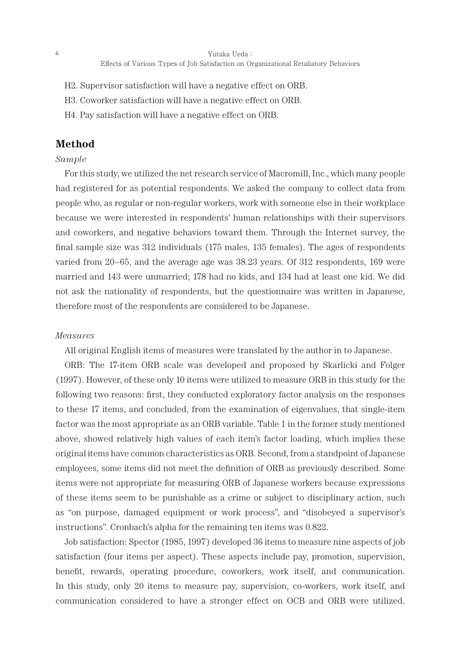- H2. Supervisor satisfaction will have a negative effect on ORB.
- H3. Coworker satisfaction will have a negative effect on ORB.
- H4. Pay satisfaction will have a negative effect on ORB.

# **Method**

#### *Sample*

For this study, we utilized the net research service of Macromill, Inc., which many people had registered for as potential respondents. We asked the company to collect data from people who, as regular or non-regular workers, work with someone else in their workplace because we were interested in respondents' human relationships with their supervisors and coworkers, and negative behaviors toward them. Through the Internet survey, the final sample size was 312 individuals (175 males, 135 females). The ages of respondents varied from 20–65, and the average age was 38.23 years. Of 312 respondents, 169 were married and 143 were unmarried; 178 had no kids, and 134 had at least one kid. We did not ask the nationality of respondents, but the questionnaire was written in Japanese, therefore most of the respondents are considered to be Japanese.

#### *Measures*

All original English items of measures were translated by the author in to Japanese.

ORB: The 17-item ORB scale was developed and proposed by Skarlicki and Folger (1997). However, of these only 10 items were utilized to measure ORB in this study for the following two reasons: first, they conducted exploratory factor analysis on the responses to these 17 items, and concluded, from the examination of eigenvalues, that single-item factor was the most appropriate as an ORB variable. Table 1 in the former study mentioned above, showed relatively high values of each item's factor loading, which implies these original items have common characteristics as ORB. Second, from a standpoint of Japanese employees, some items did not meet the definition of ORB as previously described. Some items were not appropriate for measuring ORB of Japanese workers because expressions of these items seem to be punishable as a crime or subject to disciplinary action, such as "on purpose, damaged equipment or work process", and "disobeyed a supervisor's instructions". Cronbach's alpha for the remaining ten items was 0.822.

Job satisfaction: Spector (1985, 1997) developed 36 items to measure nine aspects of job satisfaction (four items per aspect). These aspects include pay, promotion, supervision, benefit, rewards, operating procedure, coworkers, work itself, and communication. In this study, only 20 items to measure pay, supervision, co-workers, work itself, and communication considered to have a stronger effect on OCB and ORB were utilized.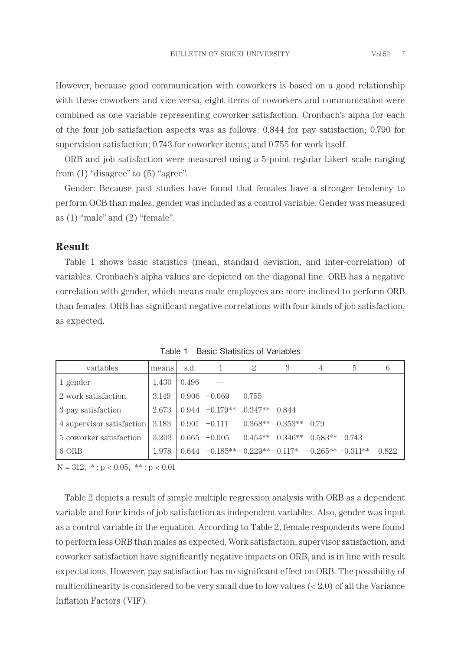However, because good communication with coworkers is based on a good relationship with these coworkers and vice versa, eight items of coworkers and communication were combined as one variable representing coworker satisfaction. Cronbach's alpha for each of the four job satisfaction aspects was as follows: 0.844 for pay satisfaction; 0.790 for supervision satisfaction; 0.743 for coworker items; and 0.755 for work itself.

ORB and job satisfaction were measured using a 5-point regular Likert scale ranging from  $(1)$  "disagree" to  $(5)$  "agree".

Gender: Because past studies have found that females have a stronger tendency to perform OCB than males, gender was included as a control variable. Gender was measured as (1) "male" and (2) "female".

## **Result**

Table 1 shows basic statistics (mean, standard deviation, and inter-correlation) of variables. Cronbach's alpha values are depicted on the diagonal line. ORB has a negative correlation with gender, which means male employees are more inclined to perform ORB than females. ORB has significant negative correlations with four kinds of job satisfaction, as expected.

| variables                 | means | s.d.  |                                               | 2         | 3              | 4         | 5     | 6     |
|---------------------------|-------|-------|-----------------------------------------------|-----------|----------------|-----------|-------|-------|
| 1 gender                  | 1.430 | 0.496 |                                               |           |                |           |       |       |
| 2 work satisfaction       | 3.149 | 0.906 | $-0.069$                                      | 0.755     |                |           |       |       |
| 3 pay satisfaction        | 2.673 | 0.944 | $-0.179**$                                    | $0.347**$ | 0.844          |           |       |       |
| 4 supervisor satisfaction | 3.183 | 0.901 | $-0.111$                                      | $0.368**$ | $0.353**$ 0.79 |           |       |       |
| 5 coworker satisfaction   | 3.203 | 0.665 | $-0.005$                                      | $0.454**$ | $0.346**$      | $0.583**$ | 0.743 |       |
| 6 ORB                     | 1.978 | 0.644 | $-0.185***-0.229**-0.117*$ $-0.265**-0.311**$ |           |                |           |       | 0.822 |

Table 1 Basic Statistics of Variables

 $N = 312, * : p < 0.05, ** : p < 0.01$ 

Table 2 depicts a result of simple multiple regression analysis with ORB as a dependent variable and four kinds of job satisfaction as independent variables. Also, gender was input as a control variable in the equation. According to Table 2, female respondents were found to perform less ORB than males as expected. Work satisfaction, supervisor satisfaction, and coworker satisfaction have significantly negative impacts on ORB, and is in line with result expectations. However, pay satisfaction has no significant effect on ORB. The possibility of multicollinearity is considered to be very small due to low values (< 2.0) of all the Variance Inflation Factors (VIF).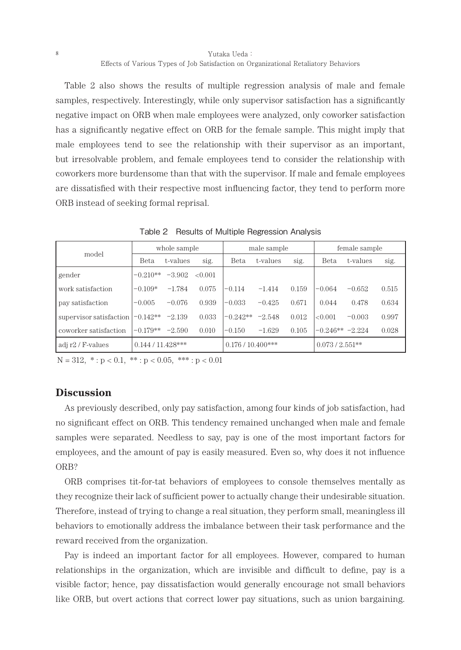Yutaka Ueda: Effects of Various Types of Job Satisfaction on Organizational Retaliatory Behaviors

Table 2 also shows the results of multiple regression analysis of male and female samples, respectively. Interestingly, while only supervisor satisfaction has a significantly negative impact on ORB when male employees were analyzed, only coworker satisfaction has a significantly negative effect on ORB for the female sample. This might imply that male employees tend to see the relationship with their supervisor as an important, but irresolvable problem, and female employees tend to consider the relationship with coworkers more burdensome than that with the supervisor. If male and female employees are dissatisfied with their respective most influencing factor, they tend to perform more ORB instead of seeking formal reprisal.

| model                   |                     | whole sample |         |                      | male sample |       | female sample     |          |       |
|-------------------------|---------------------|--------------|---------|----------------------|-------------|-------|-------------------|----------|-------|
|                         | Beta                | t-values     | sig.    | Beta                 | t-values    | sig.  | Beta              | t-values | sig.  |
| gender                  | $-0.210**$          | $-3.902$     | < 0.001 |                      |             |       |                   |          |       |
| work satisfaction       | $-0.109*$           | $-1.784$     | 0.075   | $-0.114$             | $-1.414$    | 0.159 | $-0.064$          | $-0.652$ | 0.515 |
| pay satisfaction        | $-0.005$            | $-0.076$     | 0.939   | $-0.033$             | $-0.425$    | 0.671 | 0.044             | 0.478    | 0.634 |
| supervisor satisfaction | $-0.142**$          | $-2.139$     | 0.033   | $-0.242**$           | $-2.548$    | 0.012 | < 0.001           | $-0.003$ | 0.997 |
| coworker satisfaction   | $-0.179**$          | $-2.590$     | 0.010   | $-0.150$             | $-1.629$    | 0.105 | $-0.246** -2.224$ |          | 0.028 |
| adj r2 / F-values       | $0.144 / 11.428***$ |              |         | $0.176 / 10.400$ *** |             |       | $0.073/2.551**$   |          |       |

Table 2 Results of Multiple Regression Analysis

 $N = 312, * : p < 0.1, ** : p < 0.05, ** * : p < 0.01$ 

# **Discussion**

As previously described, only pay satisfaction, among four kinds of job satisfaction, had no significant effect on ORB. This tendency remained unchanged when male and female samples were separated. Needless to say, pay is one of the most important factors for employees, and the amount of pay is easily measured. Even so, why does it not influence ORB?

ORB comprises tit-for-tat behaviors of employees to console themselves mentally as they recognize their lack of sufficient power to actually change their undesirable situation. Therefore, instead of trying to change a real situation, they perform small, meaningless ill behaviors to emotionally address the imbalance between their task performance and the reward received from the organization.

Pay is indeed an important factor for all employees. However, compared to human relationships in the organization, which are invisible and difficult to define, pay is a visible factor; hence, pay dissatisfaction would generally encourage not small behaviors like ORB, but overt actions that correct lower pay situations, such as union bargaining.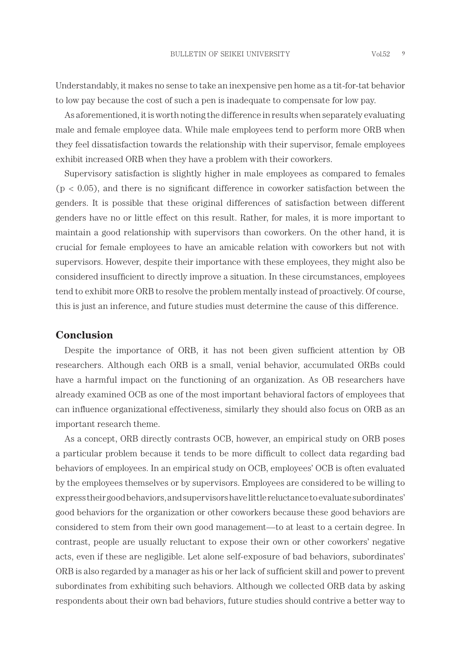Understandably, it makes no sense to take an inexpensive pen home as a tit-for-tat behavior to low pay because the cost of such a pen is inadequate to compensate for low pay.

As aforementioned, it is worth noting the difference in results when separately evaluating male and female employee data. While male employees tend to perform more ORB when they feel dissatisfaction towards the relationship with their supervisor, female employees exhibit increased ORB when they have a problem with their coworkers.

Supervisory satisfaction is slightly higher in male employees as compared to females  $(p < 0.05)$ , and there is no significant difference in coworker satisfaction between the genders. It is possible that these original differences of satisfaction between different genders have no or little effect on this result. Rather, for males, it is more important to maintain a good relationship with supervisors than coworkers. On the other hand, it is crucial for female employees to have an amicable relation with coworkers but not with supervisors. However, despite their importance with these employees, they might also be considered insufficient to directly improve a situation. In these circumstances, employees tend to exhibit more ORB to resolve the problem mentally instead of proactively. Of course, this is just an inference, and future studies must determine the cause of this difference.

# **Conclusion**

Despite the importance of ORB, it has not been given sufficient attention by OB researchers. Although each ORB is a small, venial behavior, accumulated ORBs could have a harmful impact on the functioning of an organization. As OB researchers have already examined OCB as one of the most important behavioral factors of employees that can influence organizational effectiveness, similarly they should also focus on ORB as an important research theme.

As a concept, ORB directly contrasts OCB, however, an empirical study on ORB poses a particular problem because it tends to be more difficult to collect data regarding bad behaviors of employees. In an empirical study on OCB, employees' OCB is often evaluated by the employees themselves or by supervisors. Employees are considered to be willing to express their good behaviors, and supervisors have little reluctance to evaluate subordinates' good behaviors for the organization or other coworkers because these good behaviors are considered to stem from their own good management—to at least to a certain degree. In contrast, people are usually reluctant to expose their own or other coworkers' negative acts, even if these are negligible. Let alone self-exposure of bad behaviors, subordinates' ORB is also regarded by a manager as his or her lack of sufficient skill and power to prevent subordinates from exhibiting such behaviors. Although we collected ORB data by asking respondents about their own bad behaviors, future studies should contrive a better way to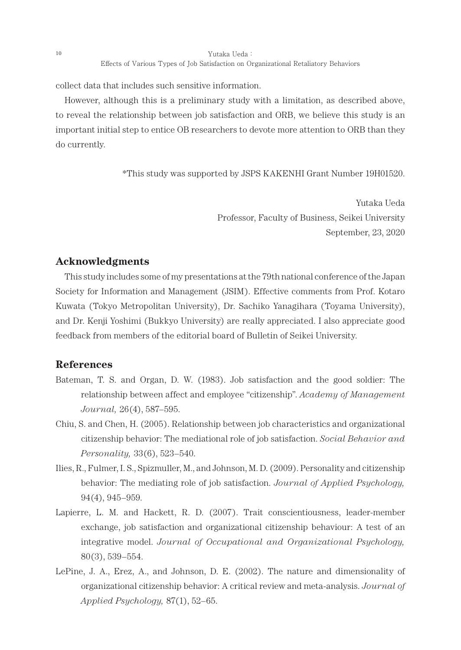collect data that includes such sensitive information.

However, although this is a preliminary study with a limitation, as described above, to reveal the relationship between job satisfaction and ORB, we believe this study is an important initial step to entice OB researchers to devote more attention to ORB than they do currently.

\*This study was supported by JSPS KAKENHI Grant Number 19H01520.

Yutaka Ueda Professor, Faculty of Business, Seikei University September, 23, 2020

# **Acknowledgments**

This study includes some of my presentations at the 79th national conference of the Japan Society for Information and Management (JSIM). Effective comments from Prof. Kotaro Kuwata (Tokyo Metropolitan University), Dr. Sachiko Yanagihara (Toyama University), and Dr. Kenji Yoshimi (Bukkyo University) are really appreciated. I also appreciate good feedback from members of the editorial board of Bulletin of Seikei University.

## **References**

- Bateman, T. S. and Organ, D. W. (1983). Job satisfaction and the good soldier: The relationship between affect and employee "citizenship". *Academy of Management Journal,* 26(4), 587–595.
- Chiu, S. and Chen, H. (2005). Relationship between job characteristics and organizational citizenship behavior: The mediational role of job satisfaction. *Social Behavior and Personality,* 33(6), 523–540.
- Ilies, R., Fulmer, I. S., Spizmuller, M., and Johnson, M. D. (2009). Personality and citizenship behavior: The mediating role of job satisfaction. *Journal of Applied Psychology,* 94(4), 945–959.
- Lapierre, L. M. and Hackett, R. D. (2007). Trait conscientiousness, leader-member exchange, job satisfaction and organizational citizenship behaviour: A test of an integrative model. *Journal of Occupational and Organizational Psychology,* 80(3), 539–554.
- LePine, J. A., Erez, A., and Johnson, D. E. (2002). The nature and dimensionality of organizational citizenship behavior: A critical review and meta-analysis. *Journal of Applied Psychology,* 87(1), 52–65.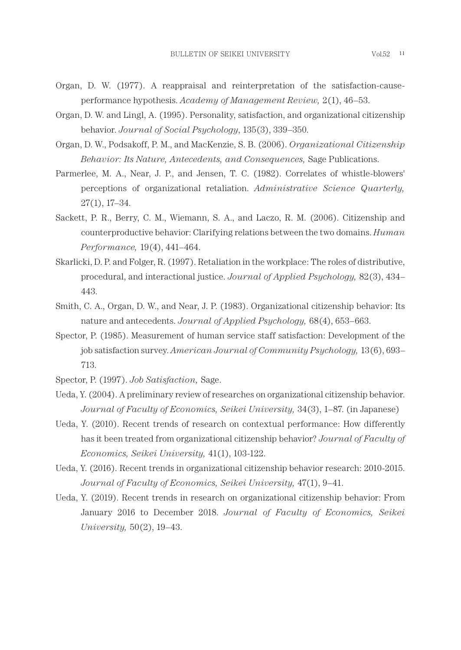- Organ, D. W. (1977). A reappraisal and reinterpretation of the satisfaction-causeperformance hypothesis. *Academy of Management Review,* 2(1), 46–53.
- Organ, D. W. and Lingl, A. (1995). Personality, satisfaction, and organizational citizenship behavior. *Journal of Social Psychology*, 135(3), 339–350.
- Organ, D. W., Podsakoff, P. M., and MacKenzie, S. B. (2006). *Organizational Citizenship Behavior: Its Nature, Antecedents, and Consequences,* Sage Publications.
- Parmerlee, M. A., Near, J. P., and Jensen, T. C. (1982). Correlates of whistle-blowers' perceptions of organizational retaliation. *Administrative Science Quarterly,* 27(1), 17–34.
- Sackett, P. R., Berry, C. M., Wiemann, S. A., and Laczo, R. M. (2006). Citizenship and counterproductive behavior: Clarifying relations between the two domains. *Human Performance,* 19(4), 441–464.
- Skarlicki, D. P. and Folger, R. (1997). Retaliation in the workplace: The roles of distributive, procedural, and interactional justice. *Journal of Applied Psychology,* 82(3), 434– 443.
- Smith, C. A., Organ, D. W., and Near, J. P. (1983). Organizational citizenship behavior: Its nature and antecedents. *Journal of Applied Psychology,* 68(4), 653–663.
- Spector, P. (1985). Measurement of human service staff satisfaction: Development of the job satisfaction survey. *American Journal of Community Psychology,* 13(6), 693– 713.

Spector, P. (1997). *Job Satisfaction,* Sage.

- Ueda, Y. (2004). A preliminary review of researches on organizational citizenship behavior. *Journal of Faculty of Economics, Seikei University,* 34(3), 1–87. (in Japanese)
- Ueda, Y. (2010). Recent trends of research on contextual performance: How differently has it been treated from organizational citizenship behavior? *Journal of Faculty of Economics, Seikei University,* 41(1), 103-122.
- Ueda, Y. (2016). Recent trends in organizational citizenship behavior research: 2010-2015. *Journal of Faculty of Economics, Seikei University,* 47(1), 9–41.
- Ueda, Y. (2019). Recent trends in research on organizational citizenship behavior: From January 2016 to December 2018. *Journal of Faculty of Economics, Seikei University,* 50(2), 19–43.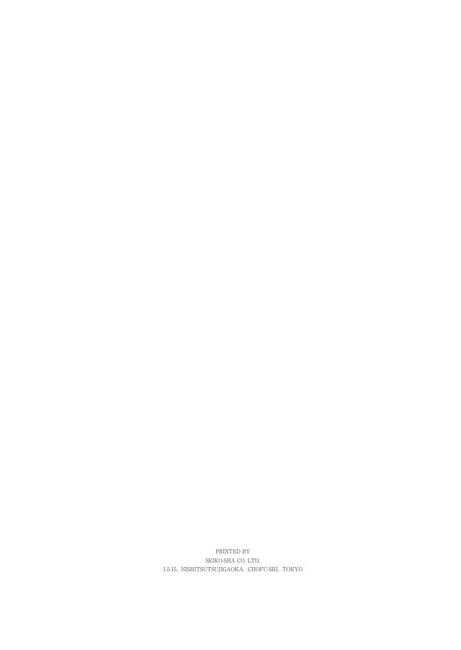PRINTED BY SEIKO-SHA CO. LTD. 1-5-15, NISHITSUTSUJIGAOKA, CHOFU-SHI, TOKYO